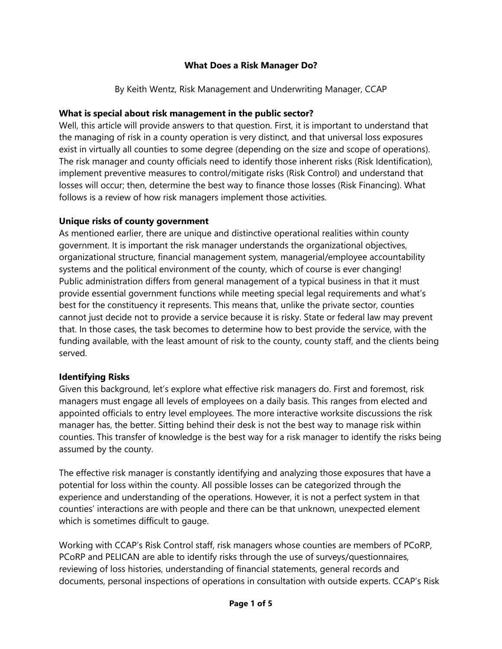#### **What Does a Risk Manager Do?**

By Keith Wentz, Risk Management and Underwriting Manager, CCAP

### **What is special about risk management in the public sector?**

Well, this article will provide answers to that question. First, it is important to understand that the managing of risk in a county operation is very distinct, and that universal loss exposures exist in virtually all counties to some degree (depending on the size and scope of operations). The risk manager and county officials need to identify those inherent risks (Risk Identification), implement preventive measures to control/mitigate risks (Risk Control) and understand that losses will occur; then, determine the best way to finance those losses (Risk Financing). What follows is a review of how risk managers implement those activities.

#### **Unique risks of county government**

As mentioned earlier, there are unique and distinctive operational realities within county government. It is important the risk manager understands the organizational objectives, organizational structure, financial management system, managerial/employee accountability systems and the political environment of the county, which of course is ever changing! Public administration differs from general management of a typical business in that it must provide essential government functions while meeting special legal requirements and what's best for the constituency it represents. This means that, unlike the private sector, counties cannot just decide not to provide a service because it is risky. State or federal law may prevent that. In those cases, the task becomes to determine how to best provide the service, with the funding available, with the least amount of risk to the county, county staff, and the clients being served.

# **Identifying Risks**

Given this background, let's explore what effective risk managers do. First and foremost, risk managers must engage all levels of employees on a daily basis. This ranges from elected and appointed officials to entry level employees. The more interactive worksite discussions the risk manager has, the better. Sitting behind their desk is not the best way to manage risk within counties. This transfer of knowledge is the best way for a risk manager to identify the risks being assumed by the county.

The effective risk manager is constantly identifying and analyzing those exposures that have a potential for loss within the county. All possible losses can be categorized through the experience and understanding of the operations. However, it is not a perfect system in that counties' interactions are with people and there can be that unknown, unexpected element which is sometimes difficult to gauge.

Working with CCAP's Risk Control staff, risk managers whose counties are members of PCoRP, PCoRP and PELICAN are able to identify risks through the use of surveys/questionnaires, reviewing of loss histories, understanding of financial statements, general records and documents, personal inspections of operations in consultation with outside experts. CCAP's Risk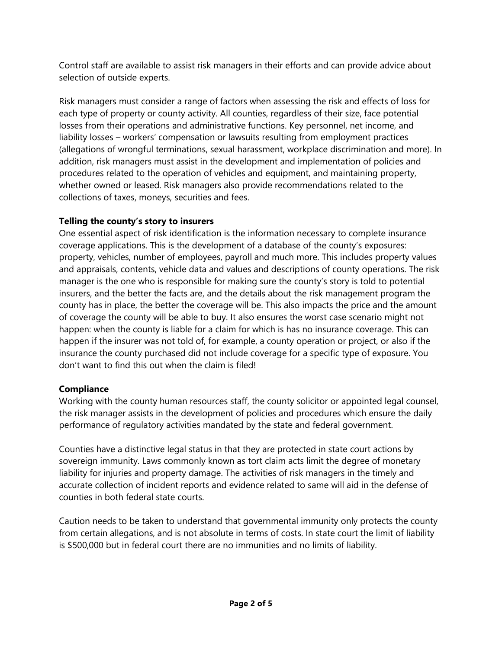Control staff are available to assist risk managers in their efforts and can provide advice about selection of outside experts.

Risk managers must consider a range of factors when assessing the risk and effects of loss for each type of property or county activity. All counties, regardless of their size, face potential losses from their operations and administrative functions. Key personnel, net income, and liability losses – workers' compensation or lawsuits resulting from employment practices (allegations of wrongful terminations, sexual harassment, workplace discrimination and more). In addition, risk managers must assist in the development and implementation of policies and procedures related to the operation of vehicles and equipment, and maintaining property, whether owned or leased. Risk managers also provide recommendations related to the collections of taxes, moneys, securities and fees.

# **Telling the county's story to insurers**

One essential aspect of risk identification is the information necessary to complete insurance coverage applications. This is the development of a database of the county's exposures: property, vehicles, number of employees, payroll and much more. This includes property values and appraisals, contents, vehicle data and values and descriptions of county operations. The risk manager is the one who is responsible for making sure the county's story is told to potential insurers, and the better the facts are, and the details about the risk management program the county has in place, the better the coverage will be. This also impacts the price and the amount of coverage the county will be able to buy. It also ensures the worst case scenario might not happen: when the county is liable for a claim for which is has no insurance coverage. This can happen if the insurer was not told of, for example, a county operation or project, or also if the insurance the county purchased did not include coverage for a specific type of exposure. You don't want to find this out when the claim is filed!

# **Compliance**

Working with the county human resources staff, the county solicitor or appointed legal counsel, the risk manager assists in the development of policies and procedures which ensure the daily performance of regulatory activities mandated by the state and federal government.

Counties have a distinctive legal status in that they are protected in state court actions by sovereign immunity. Laws commonly known as tort claim acts limit the degree of monetary liability for injuries and property damage. The activities of risk managers in the timely and accurate collection of incident reports and evidence related to same will aid in the defense of counties in both federal state courts.

Caution needs to be taken to understand that governmental immunity only protects the county from certain allegations, and is not absolute in terms of costs. In state court the limit of liability is \$500,000 but in federal court there are no immunities and no limits of liability.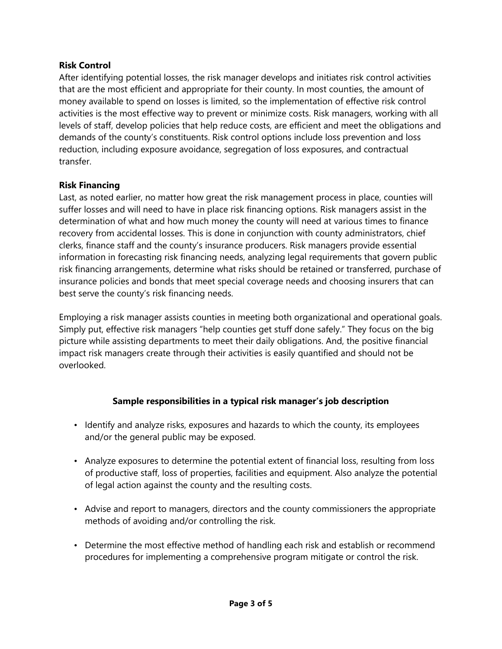#### **Risk Control**

After identifying potential losses, the risk manager develops and initiates risk control activities that are the most efficient and appropriate for their county. In most counties, the amount of money available to spend on losses is limited, so the implementation of effective risk control activities is the most effective way to prevent or minimize costs. Risk managers, working with all levels of staff, develop policies that help reduce costs, are efficient and meet the obligations and demands of the county's constituents. Risk control options include loss prevention and loss reduction, including exposure avoidance, segregation of loss exposures, and contractual transfer.

#### **Risk Financing**

Last, as noted earlier, no matter how great the risk management process in place, counties will suffer losses and will need to have in place risk financing options. Risk managers assist in the determination of what and how much money the county will need at various times to finance recovery from accidental losses. This is done in conjunction with county administrators, chief clerks, finance staff and the county's insurance producers. Risk managers provide essential information in forecasting risk financing needs, analyzing legal requirements that govern public risk financing arrangements, determine what risks should be retained or transferred, purchase of insurance policies and bonds that meet special coverage needs and choosing insurers that can best serve the county's risk financing needs.

Employing a risk manager assists counties in meeting both organizational and operational goals. Simply put, effective risk managers "help counties get stuff done safely." They focus on the big picture while assisting departments to meet their daily obligations. And, the positive financial impact risk managers create through their activities is easily quantified and should not be overlooked.

# **Sample responsibilities in a typical risk manager's job description**

- Identify and analyze risks, exposures and hazards to which the county, its employees and/or the general public may be exposed.
- Analyze exposures to determine the potential extent of financial loss, resulting from loss of productive staff, loss of properties, facilities and equipment. Also analyze the potential of legal action against the county and the resulting costs.
- Advise and report to managers, directors and the county commissioners the appropriate methods of avoiding and/or controlling the risk.
- Determine the most effective method of handling each risk and establish or recommend procedures for implementing a comprehensive program mitigate or control the risk.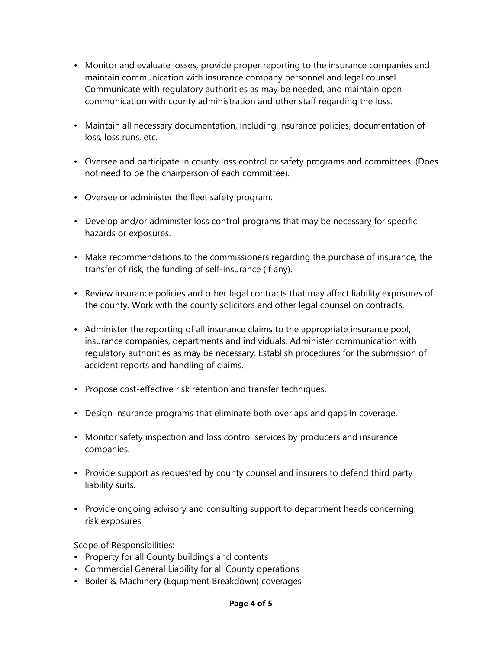- Monitor and evaluate losses, provide proper reporting to the insurance companies and maintain communication with insurance company personnel and legal counsel. Communicate with regulatory authorities as may be needed, and maintain open communication with county administration and other staff regarding the loss.
- Maintain all necessary documentation, including insurance policies, documentation of loss, loss runs, etc.
- Oversee and participate in county loss control or safety programs and committees. (Does not need to be the chairperson of each committee).
- Oversee or administer the fleet safety program.
- Develop and/or administer loss control programs that may be necessary for specific hazards or exposures.
- Make recommendations to the commissioners regarding the purchase of insurance, the transfer of risk, the funding of self-insurance (if any).
- Review insurance policies and other legal contracts that may affect liability exposures of the county. Work with the county solicitors and other legal counsel on contracts.
- Administer the reporting of all insurance claims to the appropriate insurance pool, insurance companies, departments and individuals. Administer communication with regulatory authorities as may be necessary. Establish procedures for the submission of accident reports and handling of claims.
- Propose cost-effective risk retention and transfer techniques.
- Design insurance programs that eliminate both overlaps and gaps in coverage.
- Monitor safety inspection and loss control services by producers and insurance companies.
- Provide support as requested by county counsel and insurers to defend third party liability suits.
- Provide ongoing advisory and consulting support to department heads concerning risk exposures

Scope of Responsibilities:

- Property for all County buildings and contents
- Commercial General Liability for all County operations
- Boiler & Machinery (Equipment Breakdown) coverages